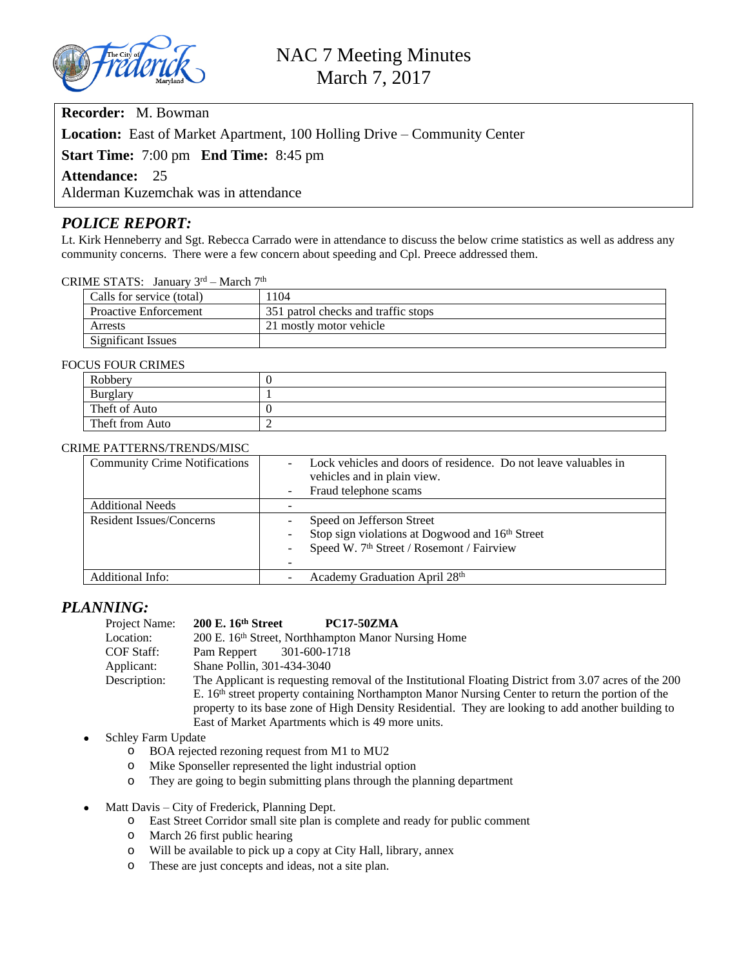

# **Recorder:** M. Bowman

**Location:** East of Market Apartment, 100 Holling Drive – Community Center

**Start Time:** 7:00 pm **End Time:** 8:45 pm

#### **Attendance:** 25

Alderman Kuzemchak was in attendance

### *POLICE REPORT:*

Lt. Kirk Henneberry and Sgt. Rebecca Carrado were in attendance to discuss the below crime statistics as well as address any community concerns. There were a few concern about speeding and Cpl. Preece addressed them.

#### CRIME STATS: January 3rd – March 7th

| Calls for service (total)    | 104                                 |  |
|------------------------------|-------------------------------------|--|
| <b>Proactive Enforcement</b> | 351 patrol checks and traffic stops |  |
| Arrests                      | 21 mostly motor vehicle             |  |
| Significant Issues           |                                     |  |

#### FOCUS FOUR CRIMES

| Robbery         |  |  |
|-----------------|--|--|
| <b>Burglary</b> |  |  |
| Theft of Auto   |  |  |
| Theft from Auto |  |  |

#### CRIME PATTERNS/TRENDS/MISC

| <b>Community Crime Notifications</b> | Lock vehicles and doors of residence. Do not leave valuables in<br>vehicles and in plain view.<br>Fraud telephone scams<br>$\sim$     |
|--------------------------------------|---------------------------------------------------------------------------------------------------------------------------------------|
| <b>Additional Needs</b>              |                                                                                                                                       |
| <b>Resident Issues/Concerns</b>      | Speed on Jefferson Street<br>Stop sign violations at Dogwood and 16th Street<br>Speed W. 7 <sup>th</sup> Street / Rosemont / Fairview |
| Additional Info:                     | Academy Graduation April 28th                                                                                                         |

### *PLANNING:*

| Project Name: | $200$ E. $16th$ Street<br><b>PC17-50ZMA</b>                                                                  |
|---------------|--------------------------------------------------------------------------------------------------------------|
| Location:     | 200 E. 16 <sup>th</sup> Street, Northhampton Manor Nursing Home                                              |
| COF Staff:    | 301-600-1718<br>Pam Reppert                                                                                  |
| Applicant:    | Shane Pollin, 301-434-3040                                                                                   |
| Description:  | The Applicant is requesting removal of the Institutional Floating District from 3.07 acres of the 200        |
|               | E. 16 <sup>th</sup> street property containing Northampton Manor Nursing Center to return the portion of the |
|               | property to its base zone of High Density Residential. They are looking to add another building to           |
|               | East of Market Apartments which is 49 more units.                                                            |

#### Schley Farm Update

- o BOA rejected rezoning request from M1 to MU2
- o Mike Sponseller represented the light industrial option
- o They are going to begin submitting plans through the planning department
- Matt Davis City of Frederick, Planning Dept.
	- o East Street Corridor small site plan is complete and ready for public comment
	- o March 26 first public hearing
	- o Will be available to pick up a copy at City Hall, library, annex
	- o These are just concepts and ideas, not a site plan.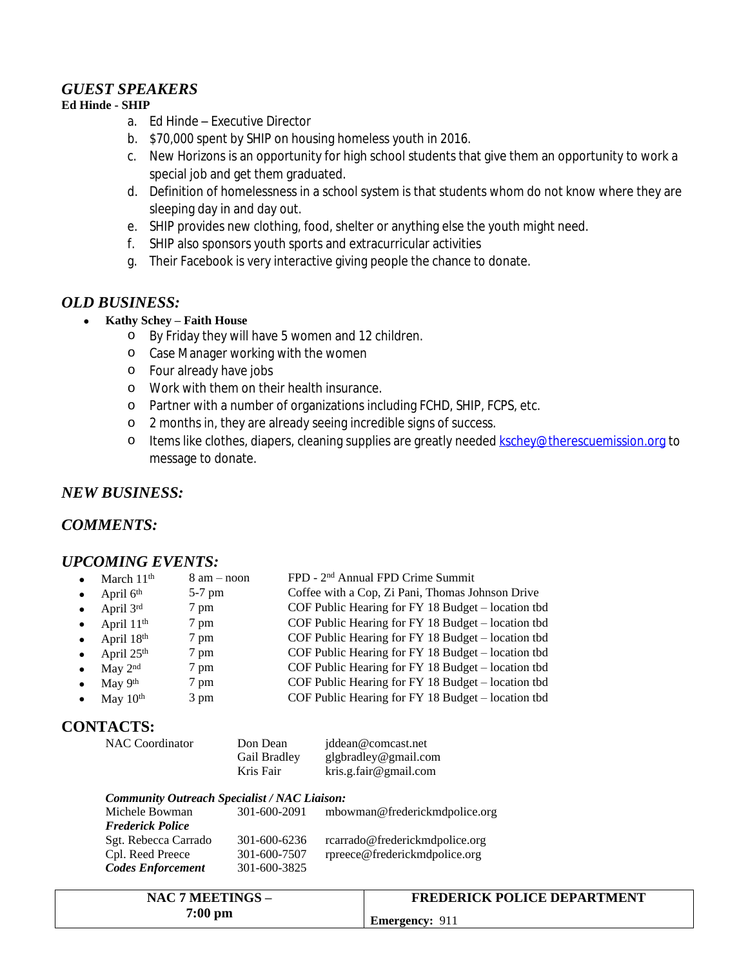# *GUEST SPEAKERS*

### **Ed Hinde - SHIP**

- a. Ed Hinde Executive Director
- b. \$70,000 spent by SHIP on housing homeless youth in 2016.
- c. New Horizons is an opportunity for high school students that give them an opportunity to work a special job and get them graduated.
- d. Definition of homelessness in a school system is that students whom do not know where they are sleeping day in and day out.
- e. SHIP provides new clothing, food, shelter or anything else the youth might need.
- f. SHIP also sponsors youth sports and extracurricular activities
- g. Their Facebook is very interactive giving people the chance to donate.

# *OLD BUSINESS:*

- **Kathy Schey – Faith House**
	- o By Friday they will have 5 women and 12 children.
	- o Case Manager working with the women
	- o Four already have jobs
	- o Work with them on their health insurance.
	- o Partner with a number of organizations including FCHD, SHIP, FCPS, etc.
	- o 2 months in, they are already seeing incredible signs of success.
	- o Items like clothes, diapers, cleaning supplies are greatly needed [kschey@therescuemission.org](mailto:kschey@therescuemission.org) to message to donate.

# *NEW BUSINESS:*

# *COMMENTS:*

### *UPCOMING EVENTS:*

| March 11 <sup>th</sup> | $8 \text{ am} - \text{noon}$ | FPD - 2 <sup>nd</sup> Annual FPD Crime Summit      |
|------------------------|------------------------------|----------------------------------------------------|
| April $6th$            | $5-7$ pm                     | Coffee with a Cop, Zi Pani, Thomas Johnson Drive   |
| April 3rd              | 7 pm                         | COF Public Hearing for FY 18 Budget - location tbd |
| April 11 <sup>th</sup> | 7 pm                         | COF Public Hearing for FY 18 Budget – location tbd |
| April 18th             | 7 pm                         | COF Public Hearing for FY 18 Budget - location tbd |
| April 25th             | 7 pm                         | COF Public Hearing for FY 18 Budget – location tbd |
| May 2 <sup>nd</sup>    | 7 pm                         | COF Public Hearing for FY 18 Budget - location tbd |
| May 9th                | 7 pm                         | COF Public Hearing for FY 18 Budget – location tbd |
| May 10th               | 3 pm                         | COF Public Hearing for FY 18 Budget – location tbd |
|                        |                              |                                                    |

# **CONTACTS:**

| <b>NAC</b> Coordinator | Don Dean     | jddean@comcast.net    |
|------------------------|--------------|-----------------------|
|                        | Gail Bradley | glgbradley@gmail.com  |
|                        | Kris Fair    | kris.g.fair@gmail.com |

#### *Community Outreach Specialist / NAC Liaison:* Michele Bowman 301-600-2091 [mbowman@frederickmdpolice.org](mailto:mbowman@frederickmdpolice.org) *Frederick Police*

| Sgt. Rebecca Carrado     | 301-600-6236 | rcarrado@frederickmdpolice.org |
|--------------------------|--------------|--------------------------------|
| Cpl. Reed Preece         | 301-600-7507 | rpreece@frederickmdpolice.org  |
| <b>Codes Enforcement</b> | 301-600-3825 |                                |

| NAC 7 MEETINGS –   | <b>FREDERICK POLICE DEPARTMENT</b> |
|--------------------|------------------------------------|
| $7:00~\mathrm{pm}$ | <b>Emergency: 911</b>              |